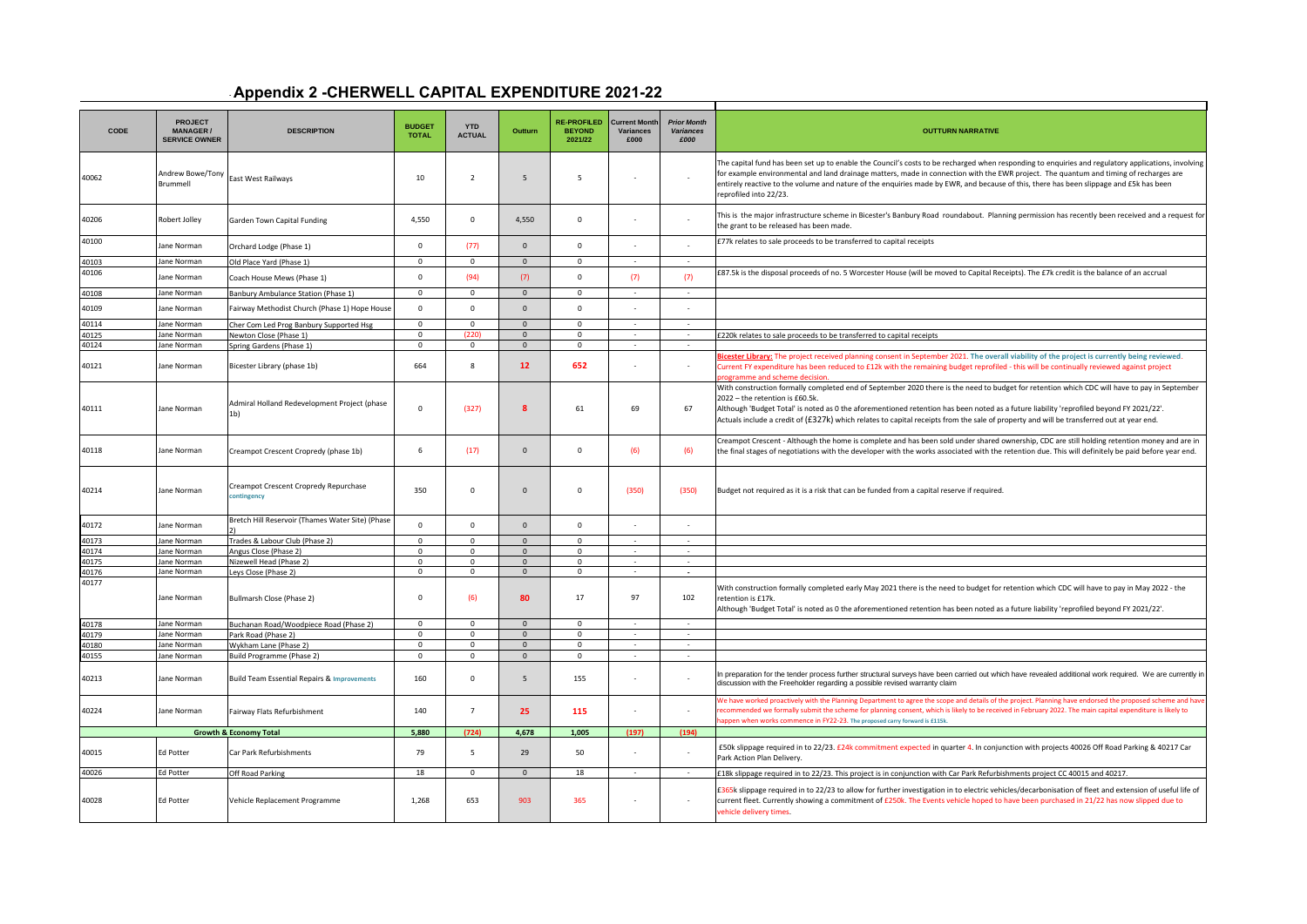## - **Appendix 2 -CHERWELL CAPITAL EXPENDITURE 2021-22**

| CODE           | <b>PROJECT</b><br><b>MANAGER/</b><br><b>SERVICE OWNER</b> | <b>DESCRIPTION</b>                                             | <b>BUDGET</b><br><b>TOTAL</b> | <b>YTD</b><br><b>ACTUAL</b> | Outturn            | <b>RE-PROFILED</b><br><b>BEYOND</b><br>2021/22 | <b>Current Mont</b><br>Variances<br>£000 | <b>Prior Month</b><br>Variances<br>£000 | <b>OUTTURN NARRATIVE</b>                                                                                                                                                                                                                                                                                                                                                                                                                                               |
|----------------|-----------------------------------------------------------|----------------------------------------------------------------|-------------------------------|-----------------------------|--------------------|------------------------------------------------|------------------------------------------|-----------------------------------------|------------------------------------------------------------------------------------------------------------------------------------------------------------------------------------------------------------------------------------------------------------------------------------------------------------------------------------------------------------------------------------------------------------------------------------------------------------------------|
| 40062          | Andrew Bowe/Tony<br>Brummell                              | East West Railways                                             | $10\,$                        | $\overline{2}$              | 5                  | 5                                              | $\sim$                                   |                                         | The capital fund has been set up to enable the Council's costs to be recharged when responding to enquiries and regulatory applications, involving<br>for example environmental and land drainage matters, made in connection with the EWR project. The quantum and timing of recharges are<br>entirely reactive to the volume and nature of the enquiries made by EWR, and because of this, there has been slippage and £5k has been<br>reprofiled into 22/23.        |
| 40206          | Robert Jolley                                             | Garden Town Capital Funding                                    | 4,550                         | $\Omega$                    | 4,550              | $\circ$                                        |                                          |                                         | This is the major infrastructure scheme in Bicester's Banbury Road roundabout. Planning permission has recently been received and a request for<br>the grant to be released has been made.                                                                                                                                                                                                                                                                             |
| 40100          | Jane Norman                                               | Orchard Lodge (Phase 1)                                        | $\Omega$                      | (77)                        | $\Omega$           | $\mathbf 0$                                    |                                          |                                         | £77k relates to sale proceeds to be transferred to capital receipts                                                                                                                                                                                                                                                                                                                                                                                                    |
| 40103          | Jane Norman                                               | Old Place Yard (Phase 1)                                       | $\mathbf 0$                   | $\circ$                     | $\Omega$           | $\mathbf{0}$                                   |                                          |                                         |                                                                                                                                                                                                                                                                                                                                                                                                                                                                        |
| 40106          | ane Norman                                                | Coach House Mews (Phase 1)                                     | $\Omega$                      | (94)                        | (7)                | $\circ$                                        | (7)                                      | (7)                                     | £87.5k is the disposal proceeds of no. 5 Worcester House (will be moved to Capital Receipts). The £7k credit is the balance of an accrual                                                                                                                                                                                                                                                                                                                              |
| 40108          | Jane Norman                                               | Banbury Ambulance Station (Phase 1)                            | $\overline{0}$                | $\overline{0}$              | $\overline{0}$     | $\overline{0}$                                 | $\sim$                                   | $\sim$                                  |                                                                                                                                                                                                                                                                                                                                                                                                                                                                        |
| 40109          | ane Norman                                                | Fairway Methodist Church (Phase 1) Hope House                  | $\mathbf 0$                   | $\mathbf 0$                 | $\mathbf{0}$       | $\mathsf 0$                                    |                                          |                                         |                                                                                                                                                                                                                                                                                                                                                                                                                                                                        |
| 40114          | ane Norman                                                | Cher Com Led Prog Banbury Supported Hsg                        | $\overline{0}$                | $\overline{0}$              | $\overline{0}$     | $\overline{0}$                                 | $\sim$                                   | $\sim$                                  |                                                                                                                                                                                                                                                                                                                                                                                                                                                                        |
| 40125          | ane Norman                                                | Newton Close (Phase 1)                                         | $\mathbf 0$                   | (220)                       | $\mathbf{0}$       | $\mathbf{0}$                                   | $\sim$                                   | $\sim$                                  | £220k relates to sale proceeds to be transferred to capital receipts                                                                                                                                                                                                                                                                                                                                                                                                   |
| 40124<br>40121 | ane Norman<br>Jane Norman                                 | Spring Gardens (Phase 1)<br>Bicester Library (phase 1b)        | $\mathsf 0$<br>664            | $\mathbf 0$<br>8            | $\mathbf{0}$<br>12 | $\mathbf 0$<br>652                             | $\sim$                                   |                                         | licester Library: The project received planning consent in September 2021. The overall viability of the project is currently being reviewed.<br>Current FY expenditure has been reduced to £12k with the remaining budget reprofiled - this will be continually reviewed against project                                                                                                                                                                               |
| 40111          | Jane Norman                                               | Admiral Holland Redevelopment Project (phase<br>1 <sub>b</sub> | $\Omega$                      | (327)                       | 8                  | 61                                             | 69                                       | 67                                      | With construction formally completed end of September 2020 there is the need to budget for retention which CDC will have to pay in September<br>2022 - the retention is £60.5k.<br>Although 'Budget Total' is noted as 0 the aforementioned retention has been noted as a future liability 'reprofiled beyond FY 2021/22'.<br>Actuals include a credit of (£327k) which relates to capital receipts from the sale of property and will be transferred out at year end. |
| 40118          | Jane Norman                                               | Creampot Crescent Cropredy (phase 1b)                          | 6                             | (17)                        | $\Omega$           | $\circ$                                        | (6)                                      | (6)                                     | Creampot Crescent - Although the home is complete and has been sold under shared ownership, CDC are still holding retention money and are in<br>the final stages of negotiations with the developer with the works associated with the retention due. This will definitely be paid before year end.                                                                                                                                                                    |
| 40214          | Jane Norman                                               | Creampot Crescent Cropredy Repurchase<br>:ontingency           | 350                           | $\mathbf 0$                 | $\mathbf{0}$       | $\mathbf 0$                                    | (350)                                    | (350)                                   | Budget not required as it is a risk that can be funded from a capital reserve if required.                                                                                                                                                                                                                                                                                                                                                                             |
| 40172          | Jane Norman                                               | Bretch Hill Reservoir (Thames Water Site) (Phase               | $\Omega$                      | $\Omega$                    | $\mathbf{0}$       | $\mathbf 0$                                    |                                          |                                         |                                                                                                                                                                                                                                                                                                                                                                                                                                                                        |
| 40173          | Jane Norman                                               | Trades & Labour Club (Phase 2)                                 | $\overline{0}$                | $\overline{0}$              | $\overline{0}$     | $\overline{0}$                                 |                                          | $\sim$                                  |                                                                                                                                                                                                                                                                                                                                                                                                                                                                        |
| 40174          | ane Norman                                                | Angus Close (Phase 2)                                          | $\mathbf 0$                   | $\mathbf 0$                 | $\mathbf{0}$       | $\mathbf 0$                                    |                                          |                                         |                                                                                                                                                                                                                                                                                                                                                                                                                                                                        |
| 40175          | ane Norman                                                | Nizewell Head (Phase 2)                                        | $\mathbf 0$                   | $\mathbf{0}$                | $\Omega$           | $\mathbf 0$                                    | $\sim$                                   | $\sim$                                  |                                                                                                                                                                                                                                                                                                                                                                                                                                                                        |
| 40176          | ane Norman                                                | Leys Close (Phase 2)                                           | $\mathbf 0$                   | $\mathbf 0$                 | $\overline{0}$     | $\mathbf{0}$                                   | $\sim$                                   | $\sim$                                  |                                                                                                                                                                                                                                                                                                                                                                                                                                                                        |
| 40177          | Jane Norman                                               | Bullmarsh Close (Phase 2)                                      | $\Omega$                      | (6)                         | 80                 | 17                                             | 97                                       | 102                                     | With construction formally completed early May 2021 there is the need to budget for retention which CDC will have to pay in May 2022 - the<br>retention is £17k.<br>Although 'Budget Total' is noted as 0 the aforementioned retention has been noted as a future liability 'reprofiled beyond FY 2021/22'.                                                                                                                                                            |
| 40178          | ane Norman                                                | Buchanan Road/Woodpiece Road (Phase 2)                         | $\Omega$                      | $\mathbf 0$                 | $\Omega$           | $\Omega$                                       | $\sim$                                   | $\sim$                                  |                                                                                                                                                                                                                                                                                                                                                                                                                                                                        |
| 40179          | Jane Norman                                               | Park Road (Phase 2)                                            | $\Omega$                      | $\mathbf 0$                 | $\mathbf{0}$       | $\mathbf{0}$                                   | $\sim$                                   | $\sim$                                  |                                                                                                                                                                                                                                                                                                                                                                                                                                                                        |
| 40180          | Jane Norman                                               | <b>Nykham Lane (Phase 2)</b>                                   | $\Omega$                      | $\mathbf{0}$                | $\overline{0}$     | $\Omega$                                       | $\sim$                                   | $\sim$                                  |                                                                                                                                                                                                                                                                                                                                                                                                                                                                        |
| 40155          | ane Norman                                                | Build Programme (Phase 2)                                      | $\mathbf 0$                   | $\circ$                     | $\mathbf{0}$       | $\mathbf{0}$                                   | $\sim$                                   | $\sim$                                  |                                                                                                                                                                                                                                                                                                                                                                                                                                                                        |
| 40213          | Jane Norman                                               | <b>Build Team Essential Repairs &amp; Improvements</b>         | 160                           | $\mathbf 0$                 | 5                  | 155                                            | $\sim$                                   | $\sim$                                  | In preparation for the tender process further structural surveys have been carried out which have revealed additional work required. We are currently in<br>discussion with the Freeholder regarding a possible revised warranty claim                                                                                                                                                                                                                                 |
| 40224          | Jane Norman                                               | Fairway Flats Refurbishment                                    | 140                           | $\overline{7}$              | 25                 | 115                                            | $\sim$                                   |                                         | Ve have worked proactively with the Planning Department to agree the scope and details of the project. Planning have endorsed the proposed scheme and have<br>ecommended we formally submit the scheme for planning consent, which is likely to be received in February 2022. The main capital expenditure is likely to<br>appen when works commence in FY22-23. The proposed carry forward is £115k.                                                                  |
|                |                                                           | <b>Growth &amp; Economy Total</b>                              | 5.880                         | (724)                       | 4.678              | 1,005                                          | (197)                                    | (194)                                   |                                                                                                                                                                                                                                                                                                                                                                                                                                                                        |
| 40015          | Ed Potter                                                 | Car Park Refurbishments                                        | 79                            | 5                           | 29                 | 50                                             | $\sim$                                   | $\sim$                                  | £50k slippage required in to 22/23. £24k commitment expected in quarter 4. In conjunction with projects 40026 Off Road Parking & 40217 Car<br>Park Action Plan Delivery.                                                                                                                                                                                                                                                                                               |
| 40026          | d Potter                                                  | Off Road Parking                                               | 18                            | $\mathsf{O}\xspace$         | $\mathbf{0}$       | 18                                             | $\sim$                                   | $\sim$                                  | £18k slippage required in to 22/23. This project is in conjunction with Car Park Refurbishments project CC 40015 and 40217.                                                                                                                                                                                                                                                                                                                                            |
| 40028          | <b>Ed Potter</b>                                          | Vehicle Replacement Programme                                  | 1,268                         | 653                         | 903                | 365                                            | $\sim$                                   |                                         | £365k slippage required in to 22/23 to allow for further investigation in to electric vehicles/decarbonisation of fleet and extension of useful life of<br>current fleet. Currently showing a commitment of £250k. The Events vehicle hoped to have been purchased in 21/22 has now slipped due to<br>vehicle delivery times.                                                                                                                                          |
|                |                                                           |                                                                |                               |                             |                    |                                                |                                          |                                         |                                                                                                                                                                                                                                                                                                                                                                                                                                                                        |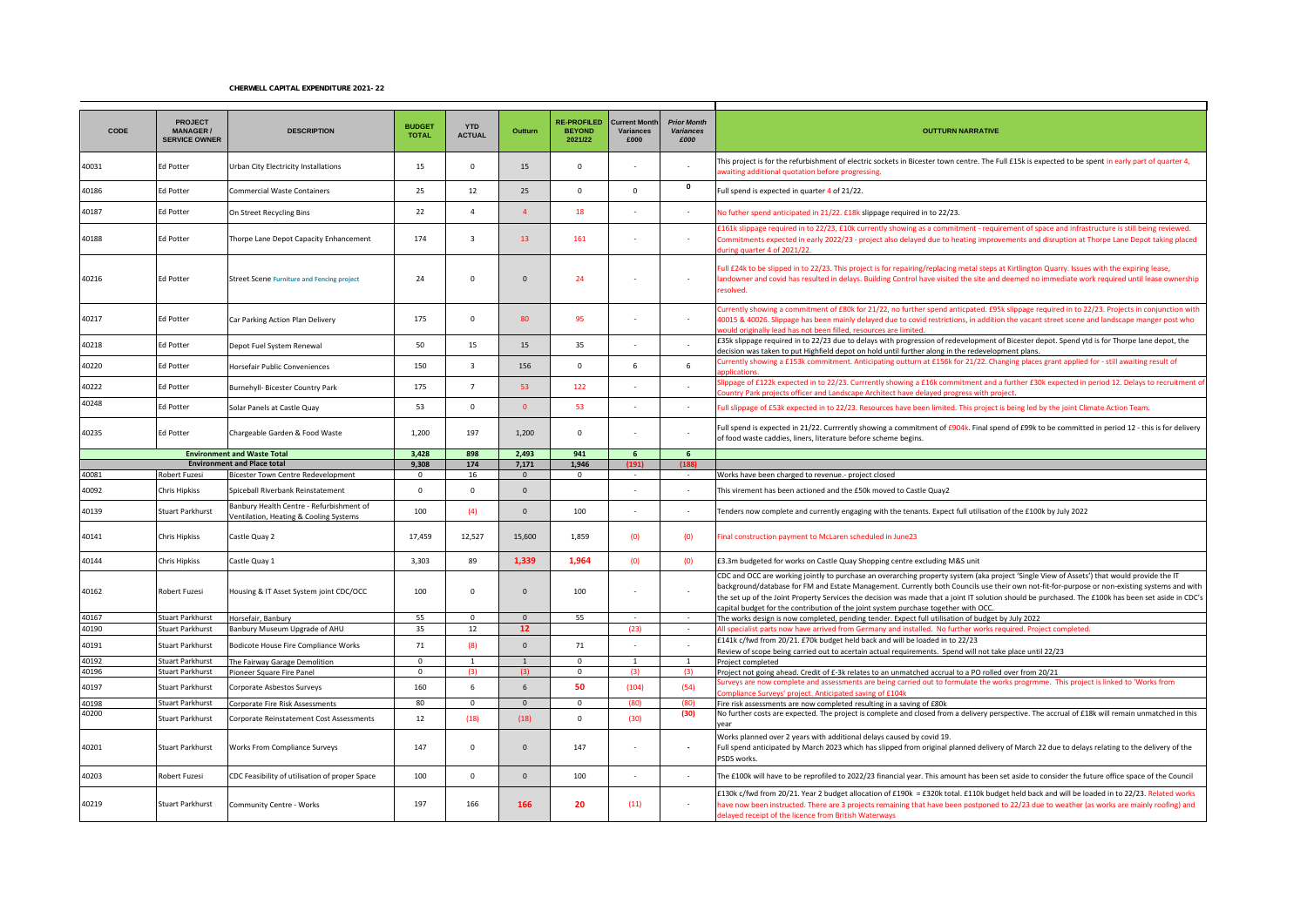## CHERWELL CAPITAL EXPENDITURE 2021-22

| CODE           | <b>PROJECT</b><br><b>MANAGER/</b><br><b>SERVICE OWNER</b> | <b>DESCRIPTION</b>                                                                 | <b>BUDGET</b><br><b>TOTAL</b> | <b>YTD</b><br><b>ACTUAL</b> | Outturn                          | <b>RE-PROFILED</b><br><b>BEYOND</b><br>2021/22 | <b>Current Month</b><br>Variances<br>£000 | <b>Prior Month</b><br><b>Variances</b><br>£000 | <b>OUTTURN NARRATIVE</b>                                                                                                                                                                                                                                                                                                                                                                                                                                                                                                                 |
|----------------|-----------------------------------------------------------|------------------------------------------------------------------------------------|-------------------------------|-----------------------------|----------------------------------|------------------------------------------------|-------------------------------------------|------------------------------------------------|------------------------------------------------------------------------------------------------------------------------------------------------------------------------------------------------------------------------------------------------------------------------------------------------------------------------------------------------------------------------------------------------------------------------------------------------------------------------------------------------------------------------------------------|
| 40031          | Ed Potter                                                 | Urban City Electricity Installations                                               | 15                            | $\Omega$                    | 15                               | $\mathbf 0$                                    | in a                                      |                                                | This project is for the refurbishment of electric sockets in Bicester town centre. The Full £15k is expected to be spent in early part of quarter 4,<br>waiting additional quotation before progressing.                                                                                                                                                                                                                                                                                                                                 |
| 40186          | Ed Potter                                                 | <b>Commercial Waste Containers</b>                                                 | 25                            | 12                          | 25                               | $\Omega$                                       | $\Omega$                                  | $\mathbf 0$                                    | Full spend is expected in quarter 4 of 21/22.                                                                                                                                                                                                                                                                                                                                                                                                                                                                                            |
| 40187          | Ed Potter                                                 | On Street Recycling Bins                                                           | 22                            | $\overline{4}$              | $\overline{4}$                   | 18                                             |                                           |                                                | No futher spend anticipated in 21/22. £18k slippage required in to 22/23.                                                                                                                                                                                                                                                                                                                                                                                                                                                                |
| 40188          | <b>Ed Potter</b>                                          | Thorpe Lane Depot Capacity Enhancement                                             | 174                           | $\overline{\mathbf{3}}$     | 13                               | 161                                            | $\sim$                                    | $\sim$                                         | £161k slippage required in to 22/23, £10k currently showing as a commitment - requirement of space and infrastructure is still being reviewed.<br>Commitments expected in early 2022/23 - project also delayed due to heating improvements and disruption at Thorpe Lane Depot taking placed<br>iring quarter 4 of 2021/22                                                                                                                                                                                                               |
| 40216          | Ed Potter                                                 | <b>Street Scene Furniture and Fencing project</b>                                  | 24                            | $\Omega$                    | $\Omega$                         | 24                                             | $\sim$                                    |                                                | Full £24k to be slipped in to 22/23. This project is for repairing/replacing metal steps at Kirtlington Quarry. Issues with the expiring lease,<br>landowner and covid has resulted in delays. Building Control have visited the site and deemed no immediate work required until lease ownership<br>esolved.                                                                                                                                                                                                                            |
| 40217          | <b>Ed Potter</b>                                          | Car Parking Action Plan Delivery                                                   | 175                           | $\Omega$                    | 80                               | 95                                             | $\sim$                                    |                                                | Currently showing a commitment of £80k for 21/22, no further spend anticpated. £95k slippage required in to 22/23. Projects in conjunction with<br>40015 & 40026. Slippage has been mainly delayed due to covid restrictions, in addition the vacant street scene and landscape manger post who<br>vould originally lead has not been filled, resources are limited.                                                                                                                                                                     |
| 40218          | <b>Ed Potter</b>                                          | Depot Fuel System Renewal                                                          | 50                            | 15                          | 15                               | 35                                             |                                           |                                                | £35k slippage required in to 22/23 due to delays with progression of redevelopment of Bicester depot. Spend ytd is for Thorpe lane depot, the<br>decision was taken to put Highfield depot on hold until further along in the redevelopment plans.                                                                                                                                                                                                                                                                                       |
| 40220          | <b>Ed Potter</b>                                          | Horsefair Public Conveniences                                                      | 150                           | $\overline{\mathbf{3}}$     | 156                              | $\mathbf 0$                                    | 6                                         | 6                                              | urrently showing a £153k commitment. Anticipating outturn at £156k for 21/22. Changing places grant applied for - still awaiting result of                                                                                                                                                                                                                                                                                                                                                                                               |
| 40222          | Ed Potter                                                 | Burnehyll- Bicester Country Park                                                   | 175                           | $\overline{7}$              | 53                               | 122                                            |                                           |                                                | llippage of £122k expected in to 22/23. Currrently showing a £16k commitment and a further £30k expected in period 12. Delays to recruitment of<br>puntry Park projects officer and Landscape Architect have delayed progress with project.                                                                                                                                                                                                                                                                                              |
| 40248          | Ed Potter                                                 | Solar Panels at Castle Quay                                                        | 53                            | $\mathbf 0$                 | $\Omega$                         | 53                                             |                                           |                                                | Full slippage of £53k expected in to 22/23. Resources have been limited. This project is being led by the joint Climate Action Team.                                                                                                                                                                                                                                                                                                                                                                                                     |
| 40235          | Ed Potter                                                 | Chargeable Garden & Food Waste                                                     | 1,200                         | 197                         | 1,200                            | $\mathsf 0$                                    |                                           |                                                | Full spend is expected in 21/22. Currrently showing a commitment of £904k. Final spend of £99k to be committed in period 12 - this is for delivery<br>of food waste caddies, liners, literature before scheme begins.                                                                                                                                                                                                                                                                                                                    |
|                |                                                           | <b>Environment and Waste Total</b><br><b>Environment and Place total</b>           | 3.428<br>9,308                | 898<br>174                  | 2,493<br>7,171                   | 941<br>1,946                                   | 6<br>(191)                                | 6<br>(188)                                     |                                                                                                                                                                                                                                                                                                                                                                                                                                                                                                                                          |
| 40081          | <b>Robert Fuzesi</b>                                      | Bicester Town Centre Redevelopment                                                 | $\mathbf{0}$                  | 16                          | $\mathbf{0}$                     | $\mathbf{0}$                                   |                                           |                                                | Works have been charged to revenue.- project closed                                                                                                                                                                                                                                                                                                                                                                                                                                                                                      |
| 40092          | <b>Chris Hipkiss</b>                                      | Spiceball Riverbank Reinstatement                                                  | $\mathbf 0$                   | $\Omega$                    | $\Omega$                         |                                                |                                           |                                                | This virement has been actioned and the £50k moved to Castle Quay2                                                                                                                                                                                                                                                                                                                                                                                                                                                                       |
| 40139          | <b>Stuart Parkhurst</b>                                   | Banbury Health Centre - Refurbishment of<br>Ventilation, Heating & Cooling Systems | 100                           | (4)                         | $\Omega$                         | 100                                            | $\sim$                                    | $\sim$                                         | Tenders now complete and currently engaging with the tenants. Expect full utilisation of the £100k by July 2022                                                                                                                                                                                                                                                                                                                                                                                                                          |
| 40141          | Chris Hipkiss                                             | Castle Quay 2                                                                      | 17,459                        | 12,527                      | 15,600                           | 1,859                                          | (0)                                       | (0)                                            | Final construction payment to McLaren scheduled in June23                                                                                                                                                                                                                                                                                                                                                                                                                                                                                |
| 40144          | Chris Hipkiss                                             | Castle Quay 1                                                                      | 3,303                         | 89                          | 1.339                            | 1.964                                          | (0)                                       | (0)                                            | £3.3m budgeted for works on Castle Quay Shopping centre excluding M&S unit                                                                                                                                                                                                                                                                                                                                                                                                                                                               |
| 40162          | Robert Fuzesi                                             | Housing & IT Asset System joint CDC/OCC                                            | 100                           | $\Omega$                    | $\Omega$                         | 100                                            | $\sim$                                    |                                                | CDC and OCC are working jointly to purchase an overarching property system (aka project 'Single View of Assets') that would provide the IT<br>background/database for FM and Estate Management. Currently both Councils use their own not-fit-for-purpose or non-existing systems and with<br>the set up of the Joint Property Services the decision was made that a joint IT solution should be purchased. The £100k has been set aside in CDC's<br>capital budget for the contribution of the joint system purchase together with OCC. |
| 40167          | Stuart Parkhurst                                          | Horsefair, Banbury                                                                 | 55                            | $\mathbf 0$                 | $\Omega$                         | 55                                             | $\sim$                                    | $\sim$                                         | The works design is now completed, pending tender. Expect full utilisation of budget by July 2022                                                                                                                                                                                                                                                                                                                                                                                                                                        |
| 40190          | Stuart Parkhurst                                          | Banbury Museum Upgrade of AHU                                                      | 35                            | 12                          | 12                               |                                                | (23)                                      | $\sim$                                         | All specialist parts now have arrived from Germany and installed. No further works required, Project completed,                                                                                                                                                                                                                                                                                                                                                                                                                          |
| 40191          | Stuart Parkhurst                                          | Bodicote House Fire Compliance Works                                               | 71                            | (8)                         | $\Omega$                         | 71                                             | $\sim$                                    |                                                | £141k c/fwd from 20/21. £70k budget held back and will be loaded in to 22/23<br>Review of scope being carried out to acertain actual requirements. Spend will not take place until 22/23                                                                                                                                                                                                                                                                                                                                                 |
| 40192          | Stuart Parkhurst                                          | The Fairway Garage Demolition                                                      | $\Omega$                      | $\mathbf{1}$                | $\mathbf{1}$                     | $\Omega$                                       | $\overline{1}$                            | -1                                             | Project completed                                                                                                                                                                                                                                                                                                                                                                                                                                                                                                                        |
| 40196          | <b>Stuart Parkhurst</b>                                   | Pioneer Square Fire Panel                                                          | $\mathbf{0}$                  | (3)                         | (3)                              | $\mathbf{0}$                                   | (3)                                       | (3)                                            | Project not going ahead. Credit of £-3k relates to an unmatched accrual to a PO rolled over from 20/21<br>iurveys are now complete and assessments are being carried out to formulate the works progrmme. This project is linked to 'Works from                                                                                                                                                                                                                                                                                          |
| 40197<br>40198 | Stuart Parkhurst<br><b>Stuart Parkhurst</b>               | Corporate Asbestos Surveys<br>Corporate Fire Risk Assessments                      | 160<br>80                     | 6<br>$\mathbf 0$            | $6 \overline{6}$<br>$\mathbf{0}$ | 50<br>$\mathbf 0$                              | (104)<br>(80)                             | (54)<br>(80)                                   | ompliance Surveys' project. Anticipated saving of £104k<br>Fire risk assessments are now completed resulting in a saving of £80k                                                                                                                                                                                                                                                                                                                                                                                                         |
| 40200          |                                                           |                                                                                    | 12                            |                             |                                  | $\mathbf 0$                                    |                                           | (30)                                           | No further costs are expected. The project is complete and closed from a delivery perspective. The accrual of £18k will remain unmatched in this                                                                                                                                                                                                                                                                                                                                                                                         |
| 40201          | Stuart Parkhurst<br>Stuart Parkhurst                      | Corporate Reinstatement Cost Assessments<br>Works From Compliance Surveys          | 147                           | (18)<br>$\mathbf 0$         | (18)<br>$\Omega$                 | 147                                            | (30)<br>in a                              |                                                | ear<br>Works planned over 2 years with additional delays caused by covid 19.<br>Full spend anticipated by March 2023 which has slipped from original planned delivery of March 22 due to delays relating to the delivery of the<br>PSDS works.                                                                                                                                                                                                                                                                                           |
| 40203          | Robert Fuzesi                                             | CDC Feasibility of utilisation of proper Space                                     | 100                           | $\Omega$                    | $\Omega$                         | 100                                            |                                           |                                                | The £100k will have to be reprofiled to 2022/23 financial year. This amount has been set aside to consider the future office space of the Council                                                                                                                                                                                                                                                                                                                                                                                        |
| 40219          | Stuart Parkhurst                                          | Community Centre - Works                                                           | 197                           | 166                         | 166                              | 20                                             | (11)                                      |                                                | £130k c/fwd from 20/21. Year 2 budget allocation of £190k = £320k total. £110k budget held back and will be loaded in to 22/23. Related works<br>have now been instructed. There are 3 projects remaining that have been postponed to 22/23 due to weather (as works are mainly roofing) and<br>delayed receipt of the licence from British Waterways                                                                                                                                                                                    |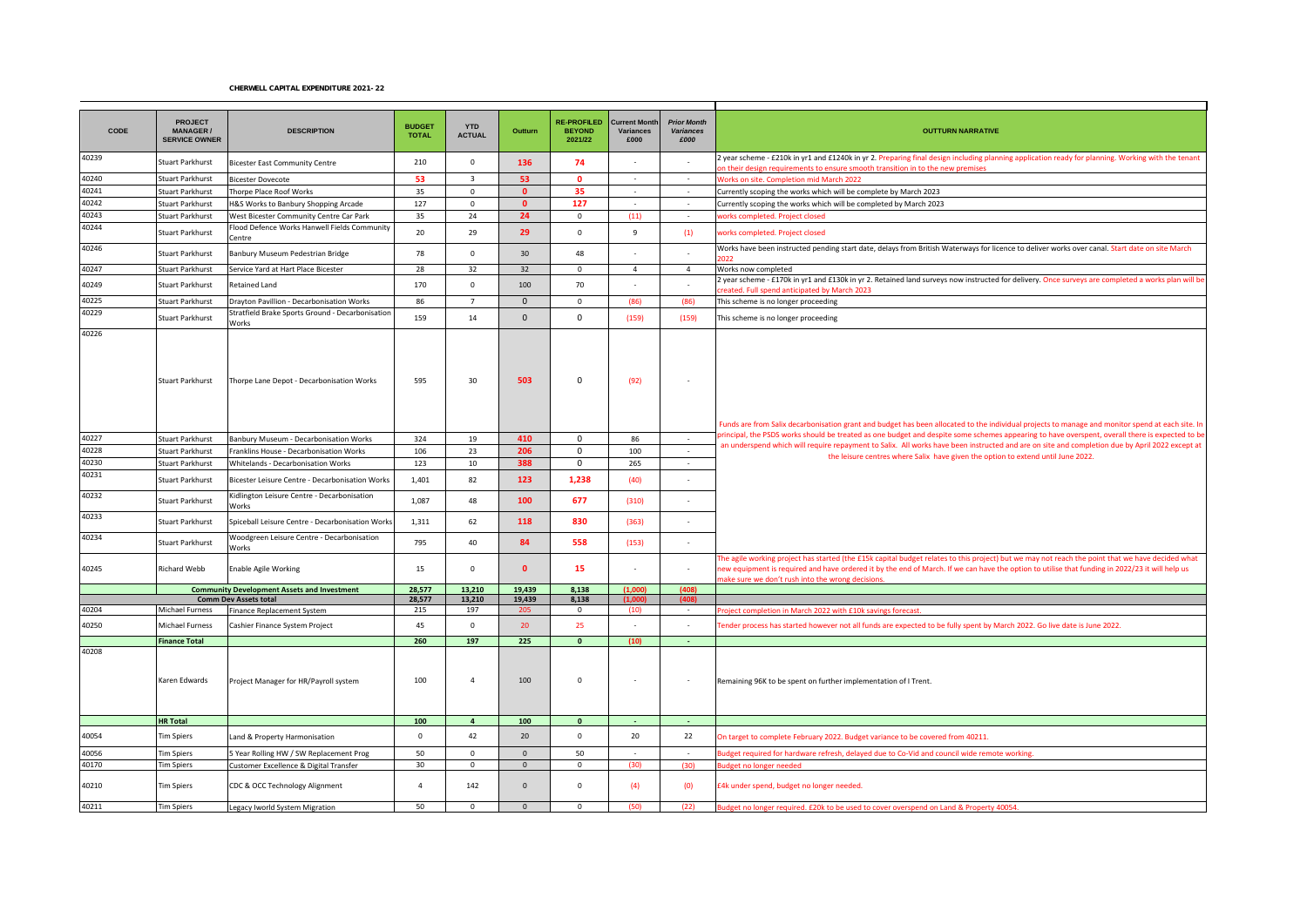## CHERWELL CAPITAL EXPENDITURE 2021-22

| CODE           | <b>PROJECT</b><br><b>MANAGER/</b><br><b>SERVICE OWNER</b> | <b>DESCRIPTION</b>                                                                             | <b>BUDGET</b><br><b>TOTAL</b> | <b>YTD</b><br><b>ACTUAL</b> | Outturn          | <b>RE-PROFILED</b><br><b>BEYOND</b><br>2021/22 | <b>Current Month</b><br>Variances<br>£000 | <b>Prior Month</b><br>Variances<br>£000 | <b>OUTTURN NARRATIVE</b>                                                                                                                                                                                                                                                                            |
|----------------|-----------------------------------------------------------|------------------------------------------------------------------------------------------------|-------------------------------|-----------------------------|------------------|------------------------------------------------|-------------------------------------------|-----------------------------------------|-----------------------------------------------------------------------------------------------------------------------------------------------------------------------------------------------------------------------------------------------------------------------------------------------------|
| 40239          | Stuart Parkhurst                                          | <b>Bicester East Community Centre</b>                                                          | 210                           | $\mathbf 0$                 | 136              | 74                                             |                                           | $\sim$                                  | year scheme - £210k in yr1 and £1240k in yr 2. Preparing final design including planning application ready for planning. Working with the tenant<br>on their design requirements to ensure smooth transition in to the new premises                                                                 |
| 40240          | Stuart Parkhurst                                          | <b>Bicester Dovecote</b>                                                                       | 53                            | $\overline{\mathbf{3}}$     | 53               | $\Omega$                                       | $\sim$                                    | $\sim$                                  | <b>Norks on site. Completion mid March 2022</b>                                                                                                                                                                                                                                                     |
| 40241          | Stuart Parkhurst                                          | Thorpe Place Roof Works                                                                        | 35                            | 0                           | $\mathbf{0}$     | 35                                             | $\sim$                                    | $\sim$                                  | Currently scoping the works which will be complete by March 2023                                                                                                                                                                                                                                    |
| 40242          | Stuart Parkhurst                                          | H&S Works to Banbury Shopping Arcade                                                           | 127                           | $\mathbf 0$                 | $\mathbf{0}$     | 127                                            |                                           |                                         | Currently scoping the works which will be completed by March 2023                                                                                                                                                                                                                                   |
| 40243          | Stuart Parkhurst                                          | West Bicester Community Centre Car Park                                                        | 35                            | 24                          | 24               | $\mathbf 0$                                    | (11)                                      | $\sim$                                  | vorks completed. Project closed                                                                                                                                                                                                                                                                     |
| 40244          | Stuart Parkhurst                                          | lood Defence Works Hanwell Fields Community<br>Centre                                          | 20                            | 29                          | 29               | $\mathbf 0$                                    | 9                                         | (1)                                     | vorks completed. Project closed                                                                                                                                                                                                                                                                     |
| 40246          | Stuart Parkhurst                                          | Banbury Museum Pedestrian Bridge                                                               | 78                            | $\mathsf 0$                 | 30               | 48                                             |                                           | $\sim$                                  | Works have been instructed pending start date, delays from British Waterways for licence to deliver works over canal. Start date on site March                                                                                                                                                      |
| 40247          | Stuart Parkhurst                                          | Service Yard at Hart Place Bicester                                                            | 28                            | 32                          | 32               | $\mathbf 0$                                    | $\overline{4}$                            | $\overline{4}$                          | Works now completed                                                                                                                                                                                                                                                                                 |
| 40249          | Stuart Parkhurst                                          | Retained Land                                                                                  | 170                           | $\mathsf 0$                 | 100              | 70                                             | $\sim$                                    | $\sim$                                  | year scheme - £170k in yr1 and £130k in yr 2. Retained land surveys now instructed for delivery. Once surveys are completed a works plan will be<br>reated. Full spend anticipated by March 2023                                                                                                    |
| 40225          | Stuart Parkhurst                                          | Drayton Pavillion - Decarbonisation Works                                                      | 86                            | $\overline{7}$              | $\mathbf{0}$     | $\mathbf 0$                                    | (86)                                      | (86)                                    | This scheme is no longer proceeding                                                                                                                                                                                                                                                                 |
| 40229          | Stuart Parkhurst                                          | Stratfield Brake Sports Ground - Decarbonisation<br>Works                                      | 159                           | 14                          | $\mathbf{0}$     | $\mathbf 0$                                    | (159)                                     | (159)                                   | This scheme is no longer proceeding                                                                                                                                                                                                                                                                 |
|                | Stuart Parkhurst                                          | Thorpe Lane Depot - Decarbonisation Works                                                      | 595                           | 30                          | 503              | $\mathbf 0$                                    | (92)                                      | $\sim$                                  | Funds are from Salix decarbonisation grant and budget has been allocated to the individual projects to manage and monitor spend at each site. In<br>principal, the PSDS works should be treated as one budget and despite some schemes appearing to have overspent, overall there is expected to be |
| 40227          | Stuart Parkhurst                                          | Banbury Museum - Decarbonisation Works                                                         | 324                           | 19                          | 410              | 0                                              | 86                                        | $\sim$                                  | an underspend which will require repayment to Salix. All works have been instructed and are on site and completion due by April 2022 except at                                                                                                                                                      |
| 40228          | Stuart Parkhurst                                          | Franklins House - Decarbonisation Works                                                        | 106                           | 23                          | 206              | $\mathbf 0$                                    | 100                                       | $\sim$                                  | the leisure centres where Salix have given the option to extend until June 2022.                                                                                                                                                                                                                    |
| 40230<br>40231 | Stuart Parkhurst<br>Stuart Parkhurst                      | Whitelands - Decarbonisation Works<br>Bicester Leisure Centre - Decarbonisation Works          | 123<br>1,401                  | 10<br>82                    | 388<br>123       | $\mathsf 0$<br>1,238                           | 265<br>(40)                               | $\sim$<br>$\sim$                        |                                                                                                                                                                                                                                                                                                     |
| 40232          | Stuart Parkhurst                                          | Kidlington Leisure Centre - Decarbonisation                                                    | 1,087                         | 48                          | 100              | 677                                            | (310)                                     | $\sim$                                  |                                                                                                                                                                                                                                                                                                     |
| 40233          |                                                           | Works                                                                                          |                               | 62                          | 118              | 830                                            | (363)                                     | $\sim$                                  |                                                                                                                                                                                                                                                                                                     |
| 40234          | Stuart Parkhurst<br>Stuart Parkhurst                      | Spiceball Leisure Centre - Decarbonisation Works<br>Woodgreen Leisure Centre - Decarbonisation | 1,311<br>795                  | 40                          | 84               | 558                                            | (153)                                     |                                         |                                                                                                                                                                                                                                                                                                     |
| 40245          | Richard Webb                                              | Works<br>Enable Agile Working                                                                  | 15                            | $\mathbf 0$                 | $\mathbf{0}$     | 15                                             |                                           | $\sim$                                  | The agile working project has started (the £15k capital budget relates to this project) but we may not reach the point that we have decided what<br>new equipment is required and have ordered it by the end of March. If we can have the option to utilise that funding in 2022/23 it will help us |
|                |                                                           |                                                                                                |                               |                             |                  |                                                |                                           |                                         | ake sure we don't rush into the wrong decisions.                                                                                                                                                                                                                                                    |
|                |                                                           | <b>Community Development Assets and Investment</b><br><b>Comm Dev Assets total</b>             | 28,577<br>28,577              | 13,210<br>13,210            | 19,439<br>19,439 | 8,138<br>8,138                                 | (1,000)<br>(1,00)                         | (408)                                   |                                                                                                                                                                                                                                                                                                     |
| 40204          | Michael Furness                                           | Finance Replacement System                                                                     | 215                           | 197                         | -205             | $\mathbf 0$                                    | (10)                                      | $\sim$                                  | roject completion in March 2022 with £10k savings forecast.                                                                                                                                                                                                                                         |
| 40250          | Michael Furness                                           | Cashier Finance System Project                                                                 | 45                            | $\mathsf 0$                 | 20               | 25                                             |                                           | $\sim$                                  | Tender process has started however not all funds are expected to be fully spent by March 2022. Go live date is June 2022.                                                                                                                                                                           |
|                | <b>Finance Total</b>                                      |                                                                                                | 260                           | 197                         | 225              | $\Omega$                                       | (10)                                      |                                         |                                                                                                                                                                                                                                                                                                     |
| 40208          | Karen Edwards                                             | Project Manager for HR/Payroll system                                                          | 100                           | $\overline{a}$              | 100              | $\mathsf 0$                                    | $\sim$                                    | $\sim$                                  | Remaining 96K to be spent on further implementation of I Trent.                                                                                                                                                                                                                                     |
|                | <b>HR Total</b>                                           |                                                                                                | 100                           | $\overline{4}$              | 100              | $\bullet$                                      | in 19                                     | $\sim$                                  |                                                                                                                                                                                                                                                                                                     |
| 40054          | Tim Spiers                                                | Land & Property Harmonisation                                                                  | $\mathsf{O}\xspace$           | 42                          | 20               | $\mathsf{O}\xspace$                            | 20                                        | 22                                      | On target to complete February 2022. Budget variance to be covered from 40211.                                                                                                                                                                                                                      |
| 40056          | <b>Tim Spiers</b>                                         | 5 Year Rolling HW / SW Replacement Prog                                                        | 50                            | $\mathbf{0}$                | $\Omega$         | 50                                             |                                           | $\sim$                                  | udget required for hardware refresh, delayed due to Co-Vid and council wide remote working.                                                                                                                                                                                                         |
| 40170          | <b>Tim Spiers</b>                                         | Customer Excellence & Digital Transfer                                                         | 30                            | $\mathbf{0}$                | $\mathbf{0}$     | $\mathbf 0$                                    | (30)                                      | (30)                                    | udget no longer needed                                                                                                                                                                                                                                                                              |
| 40210          | Tim Spiers                                                | CDC & OCC Technology Alignment                                                                 | $\overline{4}$                | 142                         | $\mathbf{0}$     | $\mathbf 0$                                    | (4)                                       | (0)                                     | E4k under spend, budget no longer needed.                                                                                                                                                                                                                                                           |
| 40211          | <b>Tim Spiers</b>                                         | Legacy Iworld System Migration                                                                 | 50                            | $\mathbf{0}$                | $\Omega$         | $\mathbf{0}$                                   | (50)                                      | (22)                                    | Budget no longer required. £20k to be used to cover overspend on Land & Property 40054.                                                                                                                                                                                                             |
|                |                                                           |                                                                                                |                               |                             |                  |                                                |                                           |                                         |                                                                                                                                                                                                                                                                                                     |